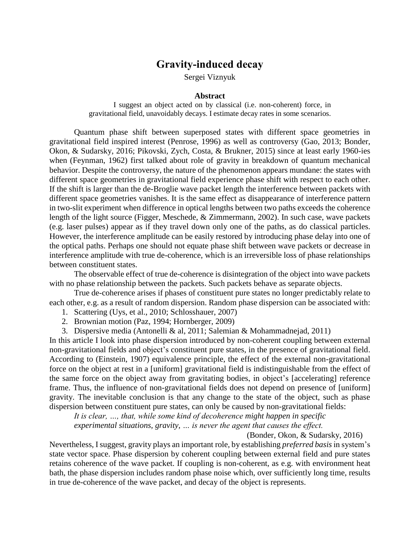## **Gravity-induced decay**

Sergei Viznyuk

## **Abstract**

I suggest an object acted on by classical (i.e. non-coherent) force, in gravitational field, unavoidably decays. I estimate decay rates in some scenarios.

Quantum phase shift between superposed states with different space geometries in gravitational field inspired interest (Penrose, 1996) as well as controversy (Gao, 2013; Bonder, Okon, & Sudarsky, 2016; Pikovski, Zych, Costa, & Brukner, 2015) since at least early 1960-ies when (Feynman, 1962) first talked about role of gravity in breakdown of quantum mechanical behavior. Despite the controversy, the nature of the phenomenon appears mundane: the states with different space geometries in gravitational field experience phase shift with respect to each other. If the shift is larger than the de-Broglie wave packet length the interference between packets with different space geometries vanishes. It is the same effect as disappearance of interference pattern in two-slit experiment when difference in optical lengths between two paths exceeds the coherence length of the light source (Figger, Meschede, & Zimmermann, 2002). In such case, wave packets (e.g. laser pulses) appear as if they travel down only one of the paths, as do classical particles. However, the interference amplitude can be easily restored by introducing phase delay into one of the optical paths. Perhaps one should not equate phase shift between wave packets or decrease in interference amplitude with true de-coherence, which is an irreversible loss of phase relationships between constituent states.

The observable effect of true de-coherence is disintegration of the object into wave packets with no phase relationship between the packets. Such packets behave as separate objects.

True de-coherence arises if phases of constituent pure states no longer predictably relate to each other, e.g. as a result of random dispersion. Random phase dispersion can be associated with:

- 1. Scattering (Uys, et al., 2010; Schlosshauer, 2007)
- 2. Brownian motion (Paz, 1994; Hornberger, 2009)
- 3. Dispersive media (Antonelli & al, 2011; Salemian & Mohammadnejad, 2011)

In this article I look into phase dispersion introduced by non-coherent coupling between external non-gravitational fields and object's constituent pure states, in the presence of gravitational field. According to (Einstein, 1907) equivalence principle, the effect of the external non-gravitational force on the object at rest in a [uniform] gravitational field is indistinguishable from the effect of the same force on the object away from gravitating bodies, in object's [accelerating] reference frame. Thus, the influence of non-gravitational fields does not depend on presence of [uniform] gravity. The inevitable conclusion is that any change to the state of the object, such as phase dispersion between constituent pure states, can only be caused by non-gravitational fields:

*It is clear, …, that, while some kind of decoherence might happen in specific* 

*experimental situations, gravity, … is never the agent that causes the effect.*

(Bonder, Okon, & Sudarsky, 2016)

Nevertheless, I suggest, gravity plays an important role, by establishing *preferred basis*in system's state vector space. Phase dispersion by coherent coupling between external field and pure states retains coherence of the wave packet. If coupling is non-coherent, as e.g. with environment heat bath, the phase dispersion includes random phase noise which, over sufficiently long time, results in true de-coherence of the wave packet, and decay of the object is represents.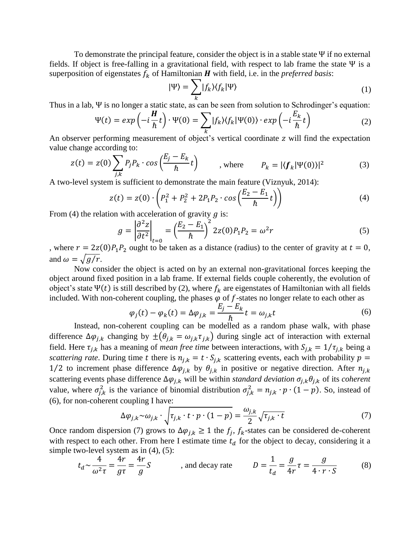To demonstrate the principal feature, consider the object is in a stable state  $\Psi$  if no external fields. If object is free-falling in a gravitational field, with respect to lab frame the state Ψ is a superposition of eigenstates  $f_k$  of Hamiltonian  $H$  with field, i.e. in the *preferred basis*:

$$
|\Psi\rangle = \sum_{k} |f_{k}\rangle\langle f_{k}|\Psi\rangle
$$
 (1)

Thus in a lab, Ψ is no longer a static state, as can be seen from solution to Schrodinger's equation:

$$
\Psi(t) = exp\left(-i\frac{H}{\hbar}t\right) \cdot \Psi(0) = \sum_{k} |f_{k}\rangle \langle f_{k}|\Psi(0)\rangle \cdot exp\left(-i\frac{E_{k}}{\hbar}t\right) \tag{2}
$$

An observer performing measurement of object's vertical coordinate z will find the expectation value change according to:

$$
z(t) = z(0) \sum_{j,k} P_j P_k \cdot \cos\left(\frac{E_j - E_k}{\hbar} t\right) \qquad , \text{ where } \qquad P_k = |\langle f_k | \Psi(0) \rangle|^2 \tag{3}
$$

A two-level system is sufficient to demonstrate the main feature (Viznyuk, 2014):

$$
z(t) = z(0) \cdot \left( P_1^2 + P_2^2 + 2P_1 P_2 \cdot \cos\left(\frac{E_2 - E_1}{\hbar}t\right) \right)
$$
(4)

From (4) the relation with acceleration of gravity  $q$  is:

$$
g = \left| \frac{\partial^2 z}{\partial t^2} \right|_{t=0} = \left( \frac{E_2 - E_1}{\hbar} \right)^2 2z(0) P_1 P_2 = \omega^2 r \tag{5}
$$

where  $r = 2z(0)P_1P_2$  ought to be taken as a distance (radius) to the center of gravity at  $t = 0$ , and  $\omega = \sqrt{g/r}$ .

Now consider the object is acted on by an external non-gravitational forces keeping the object around fixed position in a lab frame. If external fields couple coherently, the evolution of object's state  $\Psi(t)$  is still described by (2), where  $f_k$  are eigenstates of Hamiltonian with all fields included. With non-coherent coupling, the phases  $\varphi$  of f-states no longer relate to each other as

$$
\varphi_j(t) - \varphi_k(t) = \Delta \varphi_{j,k} = \frac{E_j - E_k}{\hbar} t = \omega_{j,k} t
$$
\n(6)

Instead, non-coherent coupling can be modelled as a random phase walk, with phase difference  $\Delta\varphi_{j,k}$  changing by  $\pm(\theta_{j,k} = \omega_{j,k} \tau_{j,k})$  during single act of interaction with external field. Here  $\tau_{i,k}$  has a meaning of *mean free time* between interactions, with  $S_{i,k} = 1/\tau_{i,k}$  being a *scattering rate*. During time t there is  $n_{j,k} = t \cdot S_{j,k}$  scattering events, each with probability  $p =$ 1/2 to increment phase difference  $\Delta \varphi_{j,k}$  by  $\theta_{j,k}$  in positive or negative direction. After  $n_{j,k}$ scattering events phase difference  $\Delta \varphi_{j,k}$  will be within *standard deviation*  $\sigma_{j,k} \theta_{j,k}$  of its *coherent* value, where  $\sigma_{j,k}^2$  is the variance of binomial distribution  $\sigma_{j,k}^2 = n_{j,k} \cdot p \cdot (1-p)$ . So, instead of (6), for non-coherent coupling I have:

$$
\Delta \varphi_{j,k} \sim \omega_{j,k} \cdot \sqrt{\tau_{j,k} \cdot t \cdot p \cdot (1-p)} = \frac{\omega_{j,k}}{2} \sqrt{\tau_{j,k} \cdot t}
$$
(7)

Once random dispersion (7) grows to  $\Delta \varphi_{j,k} \geq 1$  the  $f_j$ ,  $f_k$ -states can be considered de-coherent with respect to each other. From here I estimate time  $t_d$  for the object to decay, considering it a simple two-level system as in  $(4)$ ,  $(5)$ :

$$
t_d \sim \frac{4}{\omega^2 \tau} = \frac{4r}{g\tau} = \frac{4r}{g} S \qquad \text{and decay rate} \qquad D = \frac{1}{t_d} = \frac{g}{4r} \tau = \frac{g}{4 \cdot r \cdot S} \qquad (8)
$$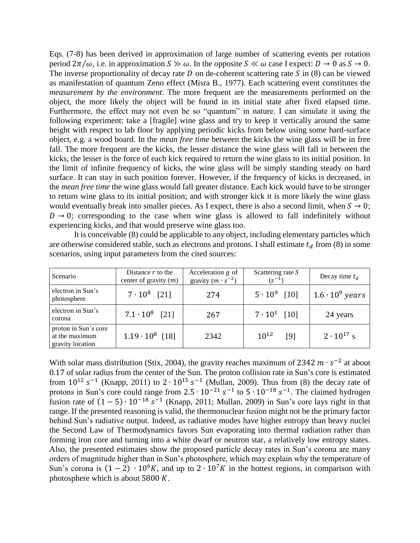Eqs. (7-8) has been derived in approximation of large number of scattering events per rotation period  $2\pi/\omega$ , i.e. in approximation  $S \gg \omega$ . In the opposite  $S \ll \omega$  case I expect:  $D \to 0$  as  $S \to 0$ . The inverse proportionality of decay rate  $D$  on de-coherent scattering rate  $S$  in (8) can be viewed as manifestation of quantum Zeno effect (Misra B., 1977). Each scattering event constitutes the *measurement by the environment*. The more frequent are the measurements performed on the object, the more likely the object will be found in its initial state after fixed elapsed time. Furthermore, the effect may not even be so "quantum" in nature. I can simulate it using the following experiment: take a [fragile] wine glass and try to keep it vertically around the same height with respect to lab floor by applying periodic kicks from below using some hard-surface object, e.g. a wood board. In the *mean free time* between the kicks the wine glass will be in free fall. The more frequent are the kicks, the lesser distance the wine glass will fall in between the kicks, the lesser is the force of each kick required to return the wine glass to its initial position. In the limit of infinite frequency of kicks, the wine glass will be simply standing steady on hard surface. It can stay in such position forever. However, if the frequency of kicks is decreased, in the *mean free time* the wine glass would fall greater distance. Each kick would have to be stronger to return wine glass to its initial position; and with stronger kick it is more likely the wine glass would eventually break into smaller pieces. As I expect, there is also a second limit, when  $S \to 0$ ;  $D \rightarrow 0$ ; corresponding to the case when wine glass is allowed to fall indefinitely without experiencing kicks, and that would preserve wine glass too.

It is conceivable (8) could be applicable to any object, including elementary particles which are otherwise considered stable, such as electrons and protons. I shall estimate  $t_d$  from (8) in some scenarios, using input parameters from the cited sources:

| Scenario                                                   | Distance $r$ to the<br>center of gravity $(m)$ | Acceleration $g$ of<br>gravity $(m \cdot s^{-2})$ | Scattering rate $S$<br>$(s^{-1})$ | Decay time $t_d$       |
|------------------------------------------------------------|------------------------------------------------|---------------------------------------------------|-----------------------------------|------------------------|
| electron in Sun's<br>photosphere                           | $7 \cdot 10^8$ [21]                            | 274                                               | $5 \cdot 10^9$ [10]               | $1.6 \cdot 10^9$ years |
| electron in Sun's<br>corona                                | $7.1 \cdot 10^8$ [21]                          | 267                                               | $7 \cdot 10^1$ [10]               | 24 years               |
| proton in Sun's core<br>at the maximum<br>gravity location | $1.19 \cdot 10^8$ [18]                         | 2342                                              | $10^{12}$<br>[9]                  | $2 \cdot 10^{17}$ s    |

With solar mass distribution (Stix, 2004), the gravity reaches maximum of 2342  $m \cdot s^{-2}$  at about 0.17 of solar radius from the center of the Sun. The proton collision rate in Sun's core is estimated from  $10^{12}$  s<sup>-1</sup> (Knapp, 2011) to  $2 \cdot 10^{15}$  s<sup>-1</sup> (Mullan, 2009). Thus from (8) the decay rate of protons in Sun's core could range from  $2.5 \cdot 10^{-21} s^{-1}$  to  $5 \cdot 10^{-18} s^{-1}$ . The claimed hydrogen fusion rate of  $(1-5) \cdot 10^{-18} s^{-1}$  (Knapp, 2011; Mullan, 2009) in Sun's core lays right in that range. If the presented reasoning is valid, the thermonuclear fusion might not be the primary factor behind Sun's radiative output. Indeed, as radiative modes have higher entropy than heavy nuclei the Second Law of Thermodynamics favors Sun evaporating into thermal radiation rather than forming iron core and turning into a white dwarf or neutron star, a relatively low entropy states. Also, the presented estimates show the proposed particle decay rates in Sun's corona are many orders of magnitude higher than in Sun's photosphere, which may explain why the temperature of Sun's corona is  $(1 – 2) \cdot 10^6 K$ , and up to  $2 \cdot 10^7 K$  in the hottest regions, in comparison with photosphere which is about 5800  $K$ .